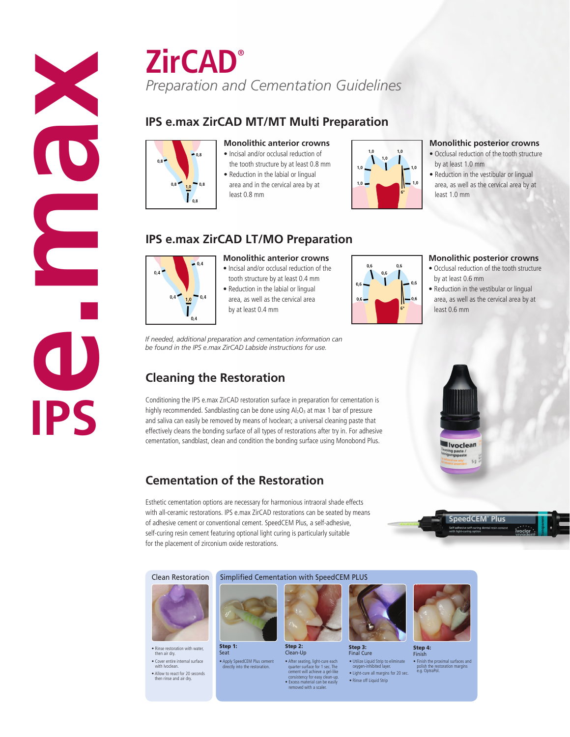**ZirCAD®** *Preparation and Cementation Guidelines*

## **IPS e.max ZirCAD MT/MT Multi Preparation**



**Monolithic anterior crowns** • Incisal and/or occlusal reduction of

- the tooth structure by at least 0.8 mm • Reduction in the labial or lingual
- area and in the cervical area by at least 0.8 mm



### **Monolithic posterior crowns**

- Occlusal reduction of the tooth structure by at least 1.0 mm
- Reduction in the vestibular or lingual area, as well as the cervical area by at least 1.0 mm

### **IPS e.max ZirCAD LT/MO Preparation**

by at least 0.4 mm

*If needed, additional preparation and cementation information can be found in the IPS e.max ZirCAD Labside instructions for use.*



**Monolithic anterior crowns**

• Incisal and/or occlusal reduction of the tooth structure by at least 0.4 mm • Reduction in the labial or lingual area, as well as the cervical area



### **Monolithic posterior crowns**

- Occlusal reduction of the tooth structure by at least 0.6 mm
- Reduction in the vestibular or lingual area, as well as the cervical area by at least 0.6 mm



# **Cleaning the Restoration**

Conditioning the IPS e.max ZirCAD restoration surface in preparation for cementation is highly recommended. Sandblasting can be done using Al<sub>2</sub>O<sub>3</sub> at max 1 bar of pressure and saliva can easily be removed by means of Ivoclean; a universal cleaning paste that effectively cleans the bonding surface of all types of restorations after try in. For adhesive cementation, sandblast, clean and condition the bonding surface using Monobond Plus.

### **Cementation of the Restoration**

Esthetic cementation options are necessary for harmonious intraoral shade effects with all-ceramic restorations. IPS e.max ZirCAD restorations can be seated by means of adhesive cement or conventional cement. SpeedCEM Plus, a self-adhesive, self-curing resin cement featuring optional light curing is particularly suitable for the placement of zirconium oxide restorations.

ctly into the restoration

Step 1: Seat

#### Clean Restoration Simplified Cementation with SpeedCEM PLUS



• Rinse restoration with water, then air dry. • Cover entire internal surface with Ivoclean. • Allow to react for 20 seconds then rinse and air dry.



• After seating, light-cure each<br>
quarter surface for 1 sec. The<br>
cement will achieve a gel-like<br>
consistency for easy clean-up.<br>
• Excess material can be easily<br>
removed with a scaler. Clean-Up • Apply SpeedCEM Plus cement



Step 3: Final Cure



• Finish the proximal surfaces and polish the restoration margins e.g. OptraPol. **Step 4:**<br>Finish Finish





• Utilize Liquid Strip to eliminate oxygen-inhibited layer. • Light-cure all margins for 20 sec. • Rinse off Liquid Strip